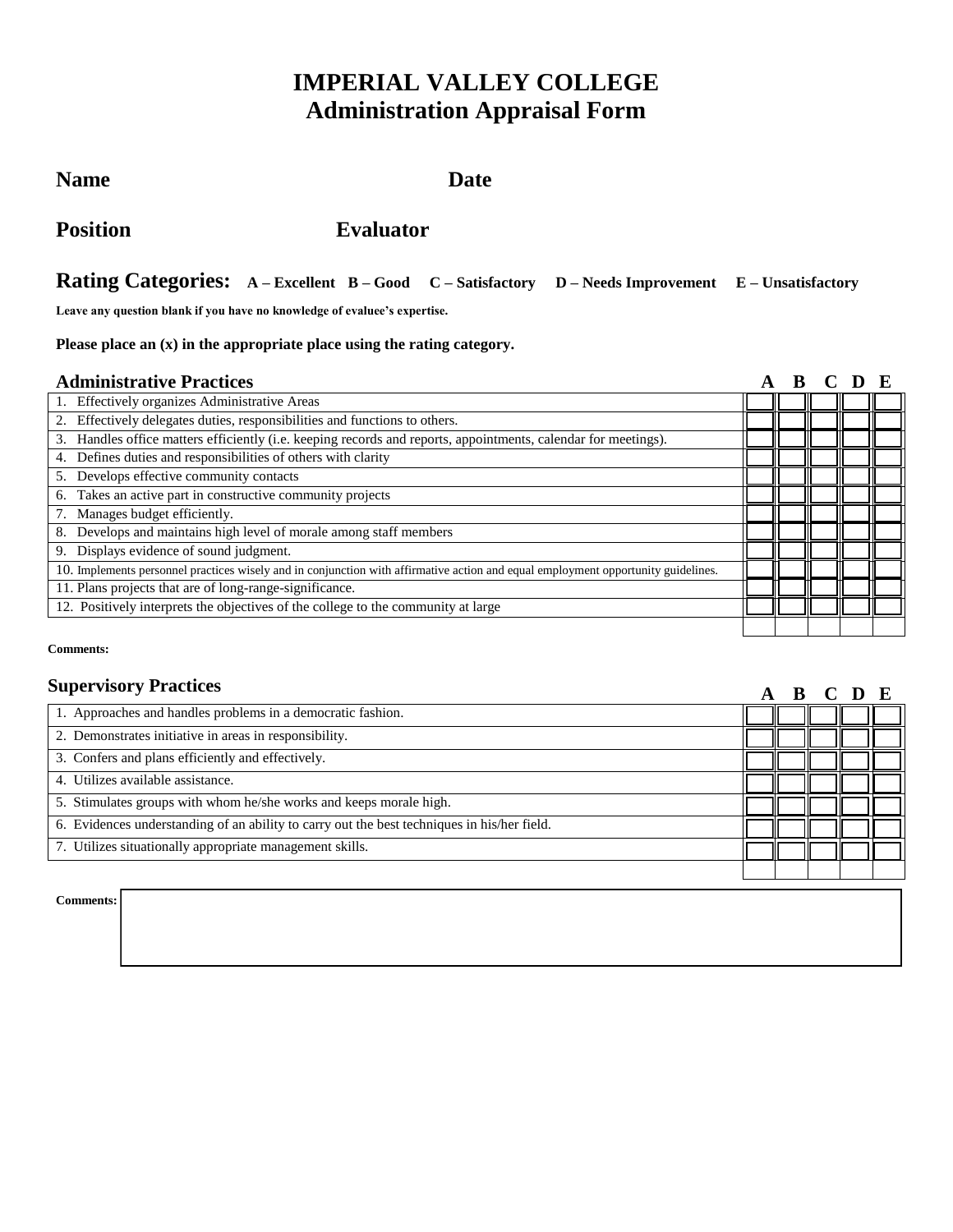# **IMPERIAL VALLEY COLLEGE Administration Appraisal Form**

## Name Date

**Position Evaluator** 

## **Rating Categories: A – Excellent B – Good C – Satisfactory D – Needs Improvement E – Unsatisfactory**

**Leave any question blank if you have no knowledge of evaluee's expertise.**

### **Please place an (x) in the appropriate place using the rating category.**

## **Administrative Practices A B C D E**

| Auhhinsti ali ve 1 i actices                                                                                                      |  |  |  | . |  |
|-----------------------------------------------------------------------------------------------------------------------------------|--|--|--|---|--|
| Effectively organizes Administrative Areas                                                                                        |  |  |  |   |  |
| Effectively delegates duties, responsibilities and functions to others.                                                           |  |  |  |   |  |
| Handles office matters efficiently (i.e. keeping records and reports, appointments, calendar for meetings).<br>3.                 |  |  |  |   |  |
| Defines duties and responsibilities of others with clarity                                                                        |  |  |  |   |  |
| Develops effective community contacts<br>5.                                                                                       |  |  |  |   |  |
| Takes an active part in constructive community projects<br>6.                                                                     |  |  |  |   |  |
| Manages budget efficiently.                                                                                                       |  |  |  |   |  |
| Develops and maintains high level of morale among staff members<br>8.                                                             |  |  |  |   |  |
| Displays evidence of sound judgment.<br>9.                                                                                        |  |  |  |   |  |
| 10. Implements personnel practices wisely and in conjunction with affirmative action and equal employment opportunity guidelines. |  |  |  |   |  |
| 11. Plans projects that are of long-range-significance.                                                                           |  |  |  |   |  |
| 12. Positively interprets the objectives of the college to the community at large                                                 |  |  |  |   |  |
|                                                                                                                                   |  |  |  |   |  |

#### **Comments:**

## **Supervisory Practices**

| <b>Supervisory Practices</b>                                                                |  | A B C D E |  |
|---------------------------------------------------------------------------------------------|--|-----------|--|
| 1. Approaches and handles problems in a democratic fashion.                                 |  |           |  |
| 2. Demonstrates initiative in areas in responsibility.                                      |  |           |  |
| 3. Confers and plans efficiently and effectively.                                           |  |           |  |
| 4. Utilizes available assistance.                                                           |  |           |  |
| 5. Stimulates groups with whom he/she works and keeps morale high.                          |  |           |  |
| 6. Evidences understanding of an ability to carry out the best techniques in his/her field. |  |           |  |
| 7. Utilizes situationally appropriate management skills.                                    |  |           |  |
|                                                                                             |  |           |  |

**Comments:**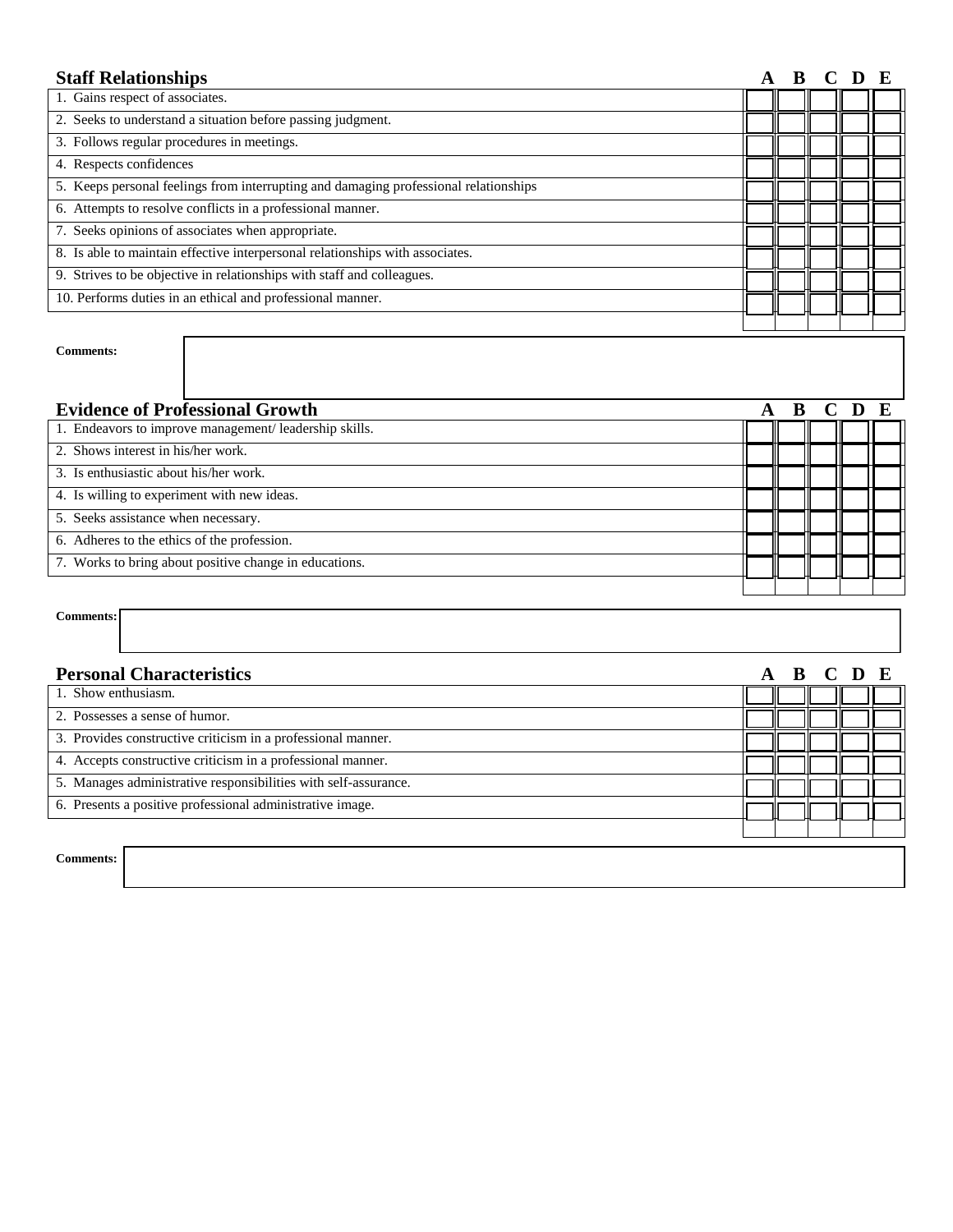| <b>Staff Relationships</b>                                                           |  |  |  |   |   |
|--------------------------------------------------------------------------------------|--|--|--|---|---|
| 1. Gains respect of associates.                                                      |  |  |  |   |   |
| 2. Seeks to understand a situation before passing judgment.                          |  |  |  |   |   |
| 3. Follows regular procedures in meetings.                                           |  |  |  |   |   |
| 4. Respects confidences                                                              |  |  |  |   |   |
| 5. Keeps personal feelings from interrupting and damaging professional relationships |  |  |  |   |   |
| 6. Attempts to resolve conflicts in a professional manner.                           |  |  |  |   |   |
| 7. Seeks opinions of associates when appropriate.                                    |  |  |  |   |   |
| 8. Is able to maintain effective interpersonal relationships with associates.        |  |  |  |   |   |
| 9. Strives to be objective in relationships with staff and colleagues.               |  |  |  |   |   |
| 10. Performs duties in an ethical and professional manner.                           |  |  |  |   |   |
|                                                                                      |  |  |  |   |   |
| <b>Comments:</b>                                                                     |  |  |  |   |   |
| <b>Evidence of Professional Growth</b>                                               |  |  |  | D | E |
| 1. Endeavors to improve management/leadership skills.                                |  |  |  |   |   |
| 2. Shows interest in his/her work.                                                   |  |  |  |   |   |
| 3. Is enthusiastic about his/her work.                                               |  |  |  |   |   |
| 4. Is willing to experiment with new ideas.                                          |  |  |  |   |   |
| 5. Seeks assistance when necessary.                                                  |  |  |  |   |   |
| 6. Adheres to the ethics of the profession.                                          |  |  |  |   |   |
| 7. Works to bring about positive change in educations.                               |  |  |  |   |   |
|                                                                                      |  |  |  |   |   |

## **Comments:**

| <b>Personal Characteristics</b>                                 |  |  | A B C D E |  |
|-----------------------------------------------------------------|--|--|-----------|--|
| 1. Show enthusiasm.                                             |  |  |           |  |
| 2. Possesses a sense of humor.                                  |  |  |           |  |
| 3. Provides constructive criticism in a professional manner.    |  |  |           |  |
| 4. Accepts constructive criticism in a professional manner.     |  |  |           |  |
| 5. Manages administrative responsibilities with self-assurance. |  |  |           |  |
| 6. Presents a positive professional administrative image.       |  |  |           |  |
|                                                                 |  |  |           |  |
| <b>Comments:</b>                                                |  |  |           |  |